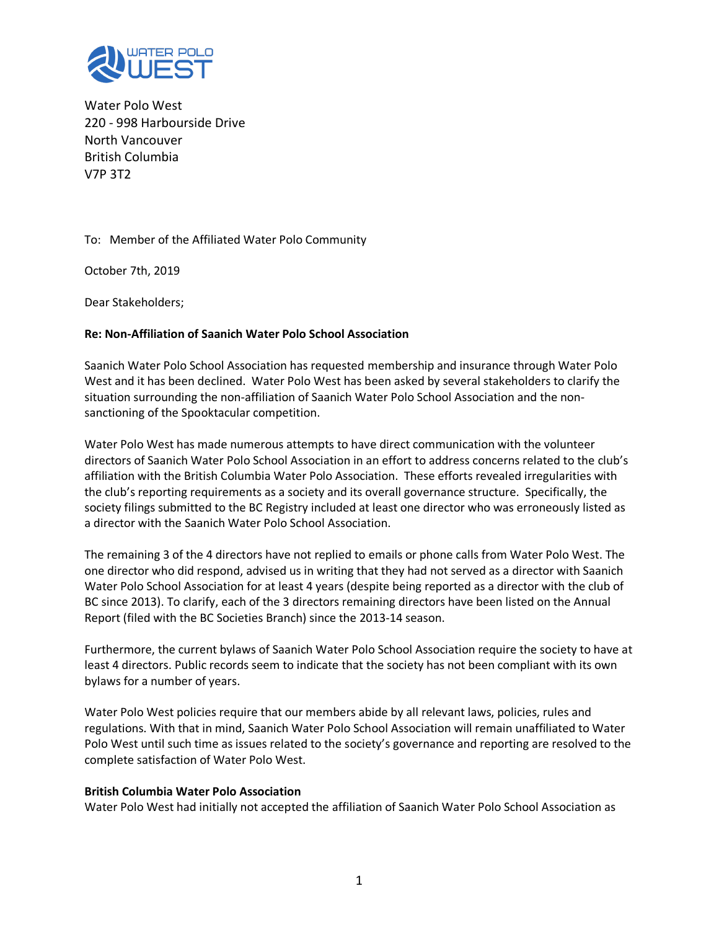

Water Polo West 220 - 998 Harbourside Drive North Vancouver British Columbia V7P 3T2

To: Member of the Affiliated Water Polo Community

October 7th, 2019

Dear Stakeholders;

#### **Re: Non-Affiliation of Saanich Water Polo School Association**

Saanich Water Polo School Association has requested membership and insurance through Water Polo West and it has been declined. Water Polo West has been asked by several stakeholders to clarify the situation surrounding the non-affiliation of Saanich Water Polo School Association and the nonsanctioning of the Spooktacular competition.

Water Polo West has made numerous attempts to have direct communication with the volunteer directors of Saanich Water Polo School Association in an effort to address concerns related to the club's affiliation with the British Columbia Water Polo Association. These efforts revealed irregularities with the club's reporting requirements as a society and its overall governance structure. Specifically, the society filings submitted to the BC Registry included at least one director who was erroneously listed as a director with the Saanich Water Polo School Association.

The remaining 3 of the 4 directors have not replied to emails or phone calls from Water Polo West. The one director who did respond, advised us in writing that they had not served as a director with Saanich Water Polo School Association for at least 4 years (despite being reported as a director with the club of BC since 2013). To clarify, each of the 3 directors remaining directors have been listed on the Annual Report (filed with the BC Societies Branch) since the 2013-14 season.

Furthermore, the current bylaws of Saanich Water Polo School Association require the society to have at least 4 directors. Public records seem to indicate that the society has not been compliant with its own bylaws for a number of years.

Water Polo West policies require that our members abide by all relevant laws, policies, rules and regulations. With that in mind, Saanich Water Polo School Association will remain unaffiliated to Water Polo West until such time as issues related to the society's governance and reporting are resolved to the complete satisfaction of Water Polo West.

#### **British Columbia Water Polo Association**

Water Polo West had initially not accepted the affiliation of Saanich Water Polo School Association as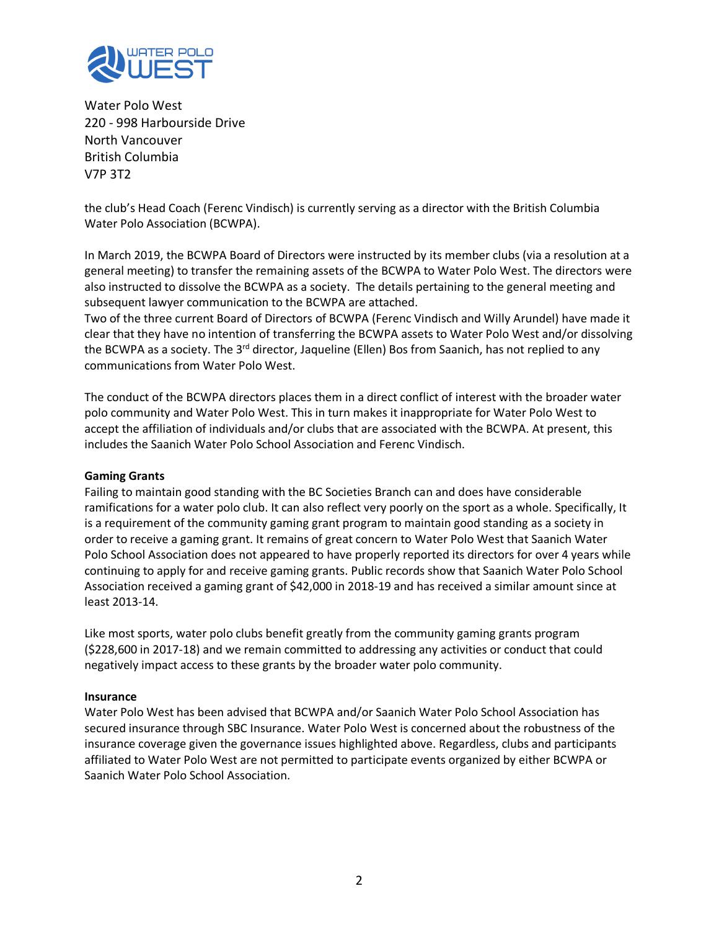

Water Polo West 220 - 998 Harbourside Drive North Vancouver British Columbia V7P 3T2

the club's Head Coach (Ferenc Vindisch) is currently serving as a director with the British Columbia Water Polo Association (BCWPA).

In March 2019, the BCWPA Board of Directors were instructed by its member clubs (via a resolution at a general meeting) to transfer the remaining assets of the BCWPA to Water Polo West. The directors were also instructed to dissolve the BCWPA as a society. The details pertaining to the general meeting and subsequent lawyer communication to the BCWPA are attached.

Two of the three current Board of Directors of BCWPA (Ferenc Vindisch and Willy Arundel) have made it clear that they have no intention of transferring the BCWPA assets to Water Polo West and/or dissolving the BCWPA as a society. The 3<sup>rd</sup> director, Jaqueline (Ellen) Bos from Saanich, has not replied to any communications from Water Polo West.

The conduct of the BCWPA directors places them in a direct conflict of interest with the broader water polo community and Water Polo West. This in turn makes it inappropriate for Water Polo West to accept the affiliation of individuals and/or clubs that are associated with the BCWPA. At present, this includes the Saanich Water Polo School Association and Ferenc Vindisch.

#### **Gaming Grants**

Failing to maintain good standing with the BC Societies Branch can and does have considerable ramifications for a water polo club. It can also reflect very poorly on the sport as a whole. Specifically, It is a requirement of the community gaming grant program to maintain good standing as a society in order to receive a gaming grant. It remains of great concern to Water Polo West that Saanich Water Polo School Association does not appeared to have properly reported its directors for over 4 years while continuing to apply for and receive gaming grants. Public records show that Saanich Water Polo School Association received a gaming grant of \$42,000 in 2018-19 and has received a similar amount since at least 2013-14.

Like most sports, water polo clubs benefit greatly from the community gaming grants program (\$228,600 in 2017-18) and we remain committed to addressing any activities or conduct that could negatively impact access to these grants by the broader water polo community.

#### **Insurance**

Water Polo West has been advised that BCWPA and/or Saanich Water Polo School Association has secured insurance through SBC Insurance. Water Polo West is concerned about the robustness of the insurance coverage given the governance issues highlighted above. Regardless, clubs and participants affiliated to Water Polo West are not permitted to participate events organized by either BCWPA or Saanich Water Polo School Association.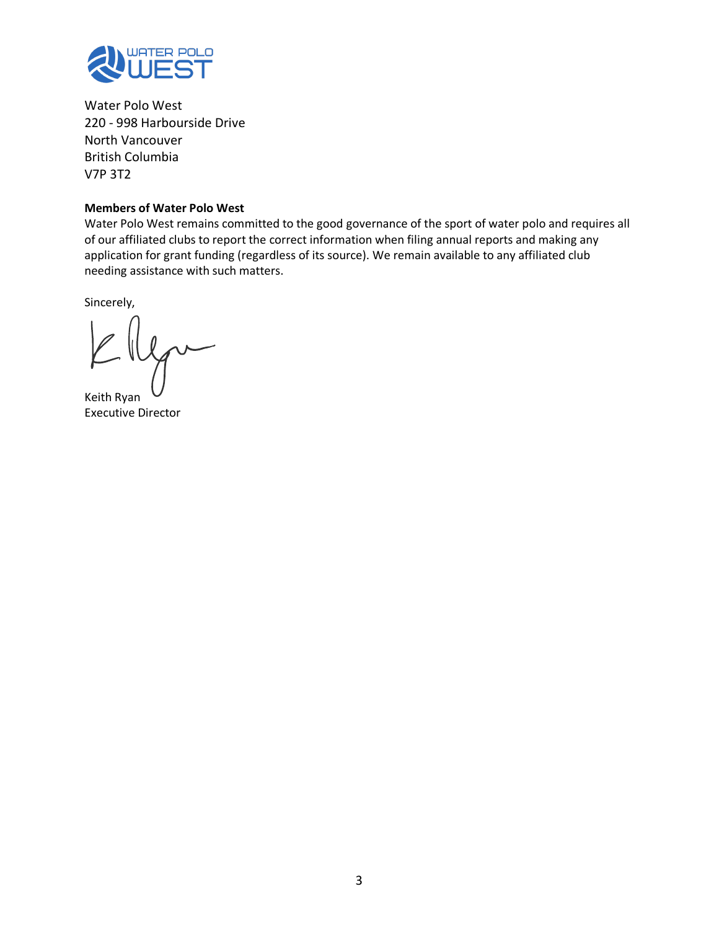

Water Polo West 220 - 998 Harbourside Drive North Vancouver British Columbia V7P 3T2

#### **Members of Water Polo West**

Water Polo West remains committed to the good governance of the sport of water polo and requires all of our affiliated clubs to report the correct information when filing annual reports and making any application for grant funding (regardless of its source). We remain available to any affiliated club needing assistance with such matters.

Sincerely,

Keith Ryan Executive Director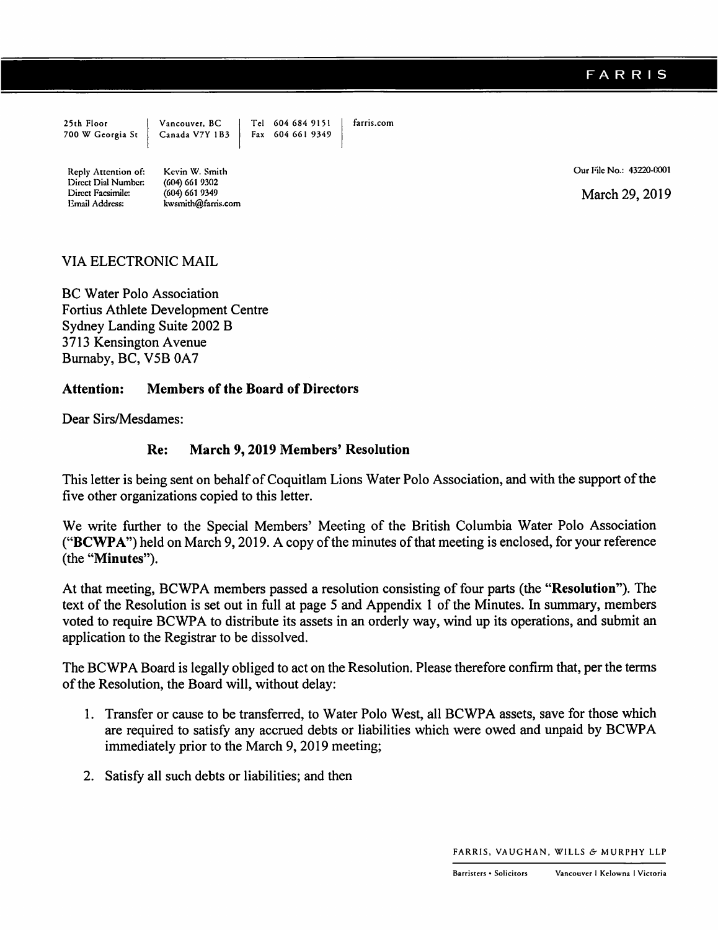|                     |                                                             | Tel 604 684 9151 | farris.com |
|---------------------|-------------------------------------------------------------|------------------|------------|
|                     | 25th Floor Vancouver, BC<br>700 W Georgia St Canada V7Y 1B3 | Fax 604 661 9349 |            |
|                     |                                                             |                  |            |
|                     |                                                             |                  |            |
| Reply Attention of: | Kevin W. Smith                                              |                  |            |
| Direct Dial Number: | $(604)$ 661 9302                                            |                  |            |
| Direct Facsimile:   | (604) 661 9349                                              |                  |            |

kwsmith@farris.com

Our File No.: 43220-0001

March 29, 2019

#### VIA ELECTRONIC MAIL

Email Address:

**BC Water Polo Association Fortius Athlete Development Centre** Sydney Landing Suite 2002 B 3713 Kensington Avenue Burnaby, BC, V5B 0A7

#### **Attention: Members of the Board of Directors**

Dear Sirs/Mesdames:

#### March 9, 2019 Members' Resolution Re:

This letter is being sent on behalf of Coquitlam Lions Water Polo Association, and with the support of the five other organizations copied to this letter.

We write further to the Special Members' Meeting of the British Columbia Water Polo Association ("BCWPA") held on March 9, 2019. A copy of the minutes of that meeting is enclosed, for your reference (the "Minutes").

At that meeting, BCWPA members passed a resolution consisting of four parts (the "Resolution"). The text of the Resolution is set out in full at page 5 and Appendix 1 of the Minutes. In summary, members voted to require BCWPA to distribute its assets in an orderly way, wind up its operations, and submit an application to the Registrar to be dissolved.

The BCWPA Board is legally obliged to act on the Resolution. Please therefore confirm that, per the terms of the Resolution, the Board will, without delay:

- 1. Transfer or cause to be transferred, to Water Polo West, all BCWPA assets, save for those which are required to satisfy any accrued debts or liabilities which were owed and unpaid by BCWPA immediately prior to the March 9, 2019 meeting;
- 2. Satisfy all such debts or liabilities; and then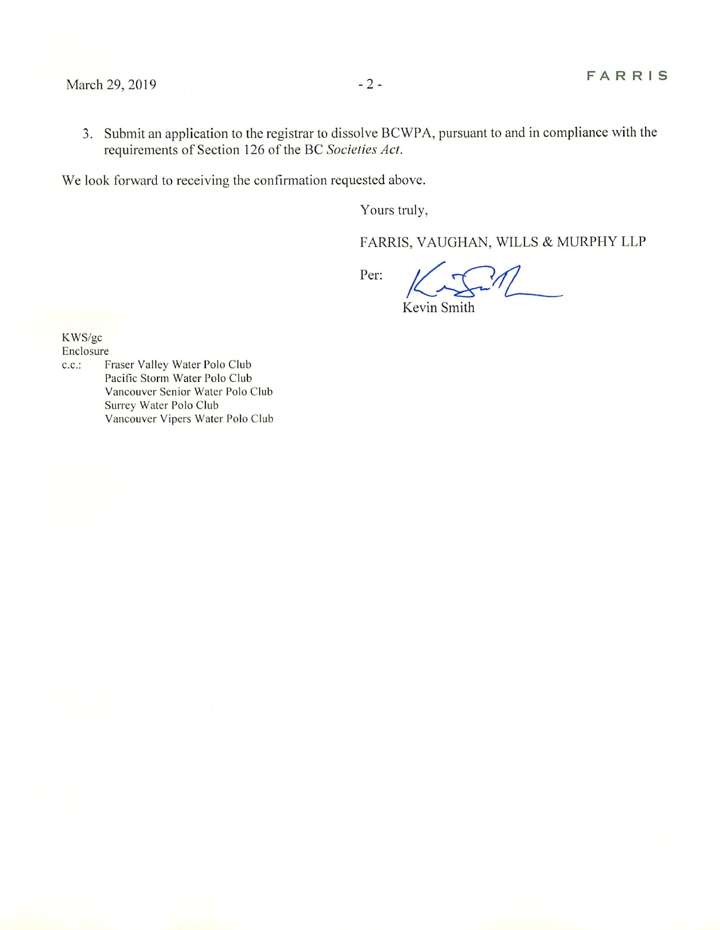3. Submit an application to the registrar to dissolve BCWPA, pursuant to and in compliance with the requirements of Section 126 of the BC Societies Act.

We look forward to receiving the confirmation requested above.

Yours truly,

FARRIS, VAUGHAN, WILLS & MURPHY LLP

Per:

Kevin Smith

KWS/gc

Enclosure

 $c.c.$ : Fraser Valley Water Polo Club Pacific Storm Water Polo Club Vancouver Senior Water Polo Club Surrey Water Polo Club Vancouver Vipers Water Polo Club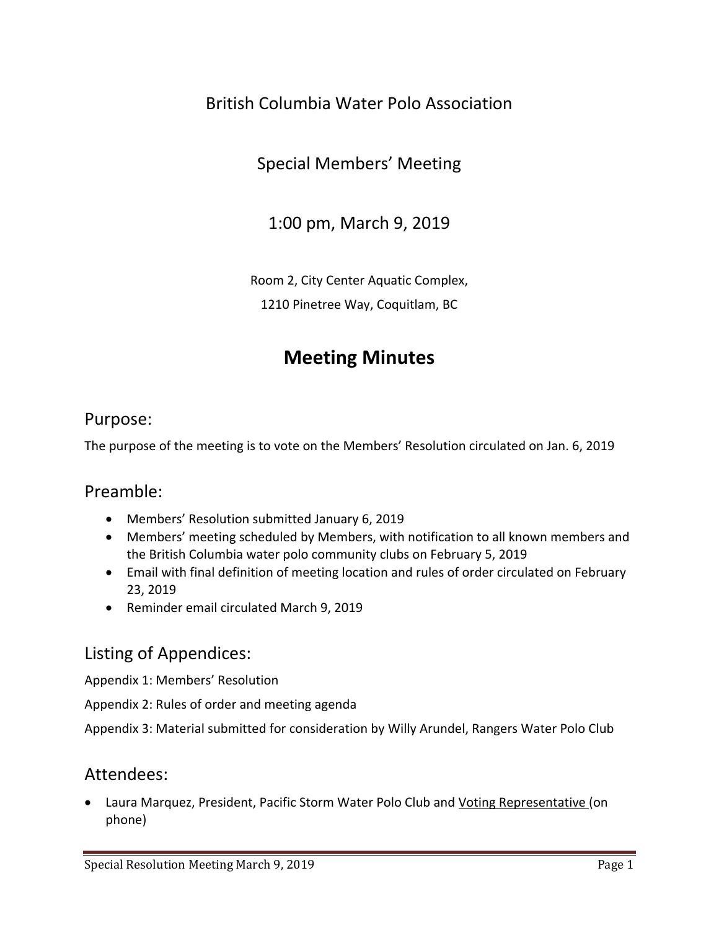## British Columbia Water Polo Association

## Special Members' Meeting

## 1:00 pm, March 9, 2019

Room 2, City Center Aquatic Complex,

1210 Pinetree Way, Coquitlam, BC

# **Meeting Minutes**

### Purpose:

The purpose of the meeting is to vote on the Members' Resolution circulated on Jan. 6, 2019

### Preamble:

- Members' Resolution submitted January 6, 2019
- Members' meeting scheduled by Members, with notification to all known members and the British Columbia water polo community clubs on February 5, 2019
- Email with final definition of meeting location and rules of order circulated on February 23, 2019
- Reminder email circulated March 9, 2019

## Listing of Appendices:

[Appendix 1: Members' Resolution](#page-12-0)

[Appendix 2: Rules of order and meeting agenda](#page-14-0)

Appendix 3: Material submitted for [consideration by Willy Arundel, Rangers Water Polo Club](#page-16-0)

### Attendees:

• Laura Marquez, President, Pacific Storm Water Polo Club and Voting Representative (on phone)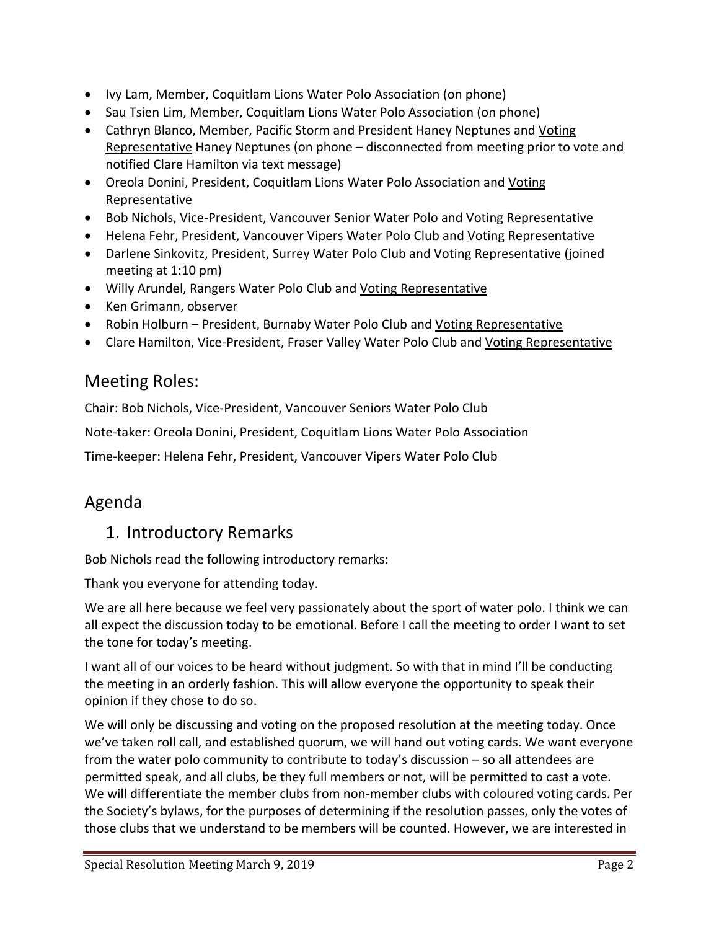- Ivy Lam, Member, Coquitlam Lions Water Polo Association (on phone)
- Sau Tsien Lim, Member, Coquitlam Lions Water Polo Association (on phone)
- Cathryn Blanco, Member, Pacific Storm and President Haney Neptunes and Voting Representative Haney Neptunes (on phone - disconnected from meeting prior to vote and notified Clare Hamilton via text message)
- Oreola Donini, President, Coquitlam Lions Water Polo Association and Voting Representative
- Bob Nichols, Vice-President, Vancouver Senior Water Polo and Voting Representative
- Helena Fehr, President, Vancouver Vipers Water Polo Club and Voting Representative
- Darlene Sinkovitz, President, Surrey Water Polo Club and Voting Representative (joined meeting at 1:10 pm)
- Willy Arundel, Rangers Water Polo Club and Voting Representative
- Ken Grimann, observer
- Robin Holburn President, Burnaby Water Polo Club and Voting Representative
- Clare Hamilton, Vice-President, Fraser Valley Water Polo Club and Voting Representative

## Meeting Roles:

Chair: Bob Nichols, Vice-President, Vancouver Seniors Water Polo Club

Note-taker: Oreola Donini, President, Coquitlam Lions Water Polo Association

Time-keeper: Helena Fehr, President, Vancouver Vipers Water Polo Club

## Agenda

## 1. Introductory Remarks

Bob Nichols read the following introductory remarks:

Thank you everyone for attending today.

We are all here because we feel very passionately about the sport of water polo. I think we can all expect the discussion today to be emotional. Before I call the meeting to order I want to set the tone for today's meeting.

I want all of our voices to be heard without judgment. So with that in mind I'll be conducting the meeting in an orderly fashion. This will allow everyone the opportunity to speak their opinion if they chose to do so.

We will only be discussing and voting on the proposed resolution at the meeting today. Once we've taken roll call, and established quorum, we will hand out voting cards. We want everyone from the water polo community to contribute to today's discussion – so all attendees are permitted speak, and all clubs, be they full members or not, will be permitted to cast a vote. We will differentiate the member clubs from non-member clubs with coloured voting cards. Per the Society's bylaws, for the purposes of determining if the resolution passes, only the votes of those clubs that we understand to be members will be counted. However, we are interested in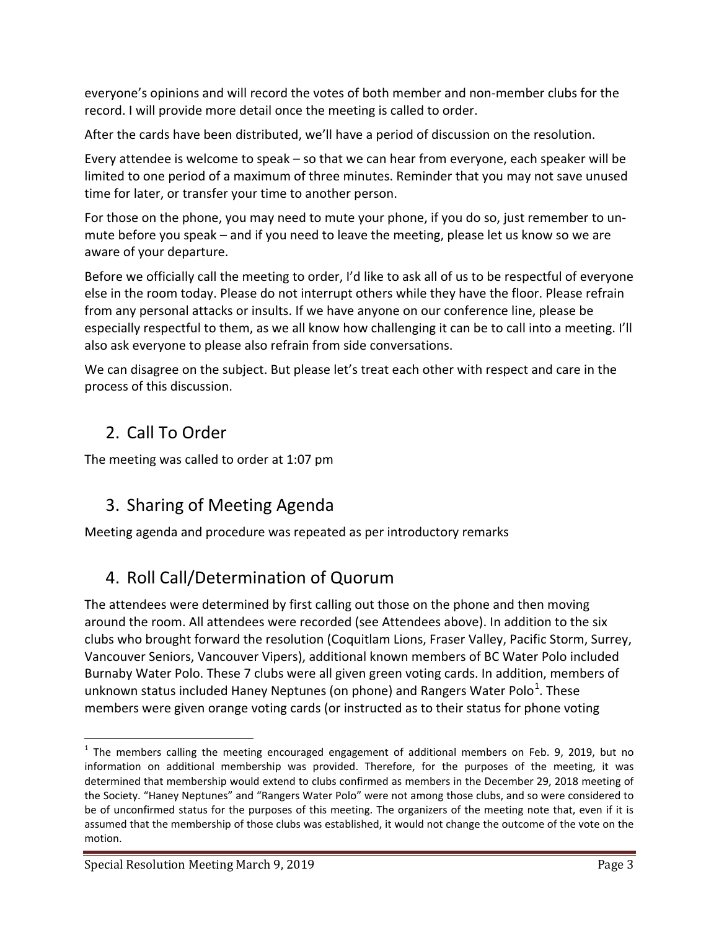everyone's opinions and will record the votes of both member and non-member clubs for the record. I will provide more detail once the meeting is called to order.

After the cards have been distributed, we'll have a period of discussion on the resolution.

Every attendee is welcome to speak – so that we can hear from everyone, each speaker will be limited to one period of a maximum of three minutes. Reminder that you may not save unused time for later, or transfer your time to another person.

For those on the phone, you may need to mute your phone, if you do so, just remember to unmute before you speak – and if you need to leave the meeting, please let us know so we are aware of your departure.

Before we officially call the meeting to order, I'd like to ask all of us to be respectful of everyone else in the room today. Please do not interrupt others while they have the floor. Please refrain from any personal attacks or insults. If we have anyone on our conference line, please be especially respectful to them, as we all know how challenging it can be to call into a meeting. I'll also ask everyone to please also refrain from side conversations.

We can disagree on the subject. But please let's treat each other with respect and care in the process of this discussion.

## 2. Call To Order

The meeting was called to order at 1:07 pm

## 3. Sharing of Meeting Agenda

Meeting agenda and procedure was repeated as per introductory remarks

## 4. Roll Call/Determination of Quorum

The attendees were determined by first calling out those on the phone and then moving around the room. All attendees were recorded (see Attendees above). In addition to the six clubs who brought forward the resolution (Coquitlam Lions, Fraser Valley, Pacific Storm, Surrey, Vancouver Seniors, Vancouver Vipers), additional known members of BC Water Polo included Burnaby Water Polo. These 7 clubs were all given green voting cards. In addition, members of unknown status included Haney Neptunes (on phone) and Rangers Water Polo<sup>[1](#page-7-0)</sup>. These members were given orange voting cards (or instructed as to their status for phone voting

<span id="page-7-0"></span> $1$  The members calling the meeting encouraged engagement of additional members on Feb. 9, 2019, but no information on additional membership was provided. Therefore, for the purposes of the meeting, it was determined that membership would extend to clubs confirmed as members in the December 29, 2018 meeting of the Society. "Haney Neptunes" and "Rangers Water Polo" were not among those clubs, and so were considered to be of unconfirmed status for the purposes of this meeting. The organizers of the meeting note that, even if it is assumed that the membership of those clubs was established, it would not change the outcome of the vote on the motion.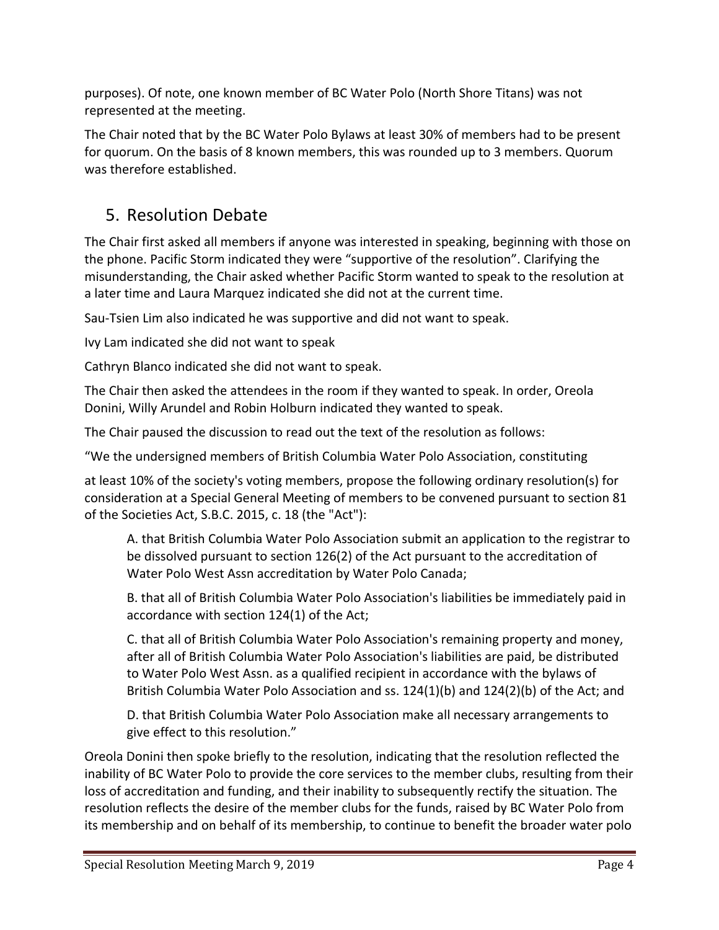purposes). Of note, one known member of BC Water Polo (North Shore Titans) was not represented at the meeting.

The Chair noted that by the BC Water Polo Bylaws at least 30% of members had to be present for quorum. On the basis of 8 known members, this was rounded up to 3 members. Quorum was therefore established.

## 5. Resolution Debate

The Chair first asked all members if anyone was interested in speaking, beginning with those on the phone. Pacific Storm indicated they were "supportive of the resolution". Clarifying the misunderstanding, the Chair asked whether Pacific Storm wanted to speak to the resolution at a later time and Laura Marquez indicated she did not at the current time.

Sau-Tsien Lim also indicated he was supportive and did not want to speak.

Ivy Lam indicated she did not want to speak

Cathryn Blanco indicated she did not want to speak.

The Chair then asked the attendees in the room if they wanted to speak. In order, Oreola Donini, Willy Arundel and Robin Holburn indicated they wanted to speak.

The Chair paused the discussion to read out the text of the resolution as follows:

"We the undersigned members of British Columbia Water Polo Association, constituting

at least 10% of the society's voting members, propose the following ordinary resolution(s) for consideration at a Special General Meeting of members to be convened pursuant to section 81 of the Societies Act, S.B.C. 2015, c. 18 (the "Act"):

A. that British Columbia Water Polo Association submit an application to the registrar to be dissolved pursuant to section 126(2) of the Act pursuant to the accreditation of Water Polo West Assn accreditation by Water Polo Canada;

B. that all of British Columbia Water Polo Association's liabilities be immediately paid in accordance with section 124(1) of the Act;

C. that all of British Columbia Water Polo Association's remaining property and money, after all of British Columbia Water Polo Association's liabilities are paid, be distributed to Water Polo West Assn. as a qualified recipient in accordance with the bylaws of British Columbia Water Polo Association and ss. 124(1)(b) and 124(2)(b) of the Act; and

D. that British Columbia Water Polo Association make all necessary arrangements to give effect to this resolution."

Oreola Donini then spoke briefly to the resolution, indicating that the resolution reflected the inability of BC Water Polo to provide the core services to the member clubs, resulting from their loss of accreditation and funding, and their inability to subsequently rectify the situation. The resolution reflects the desire of the member clubs for the funds, raised by BC Water Polo from its membership and on behalf of its membership, to continue to benefit the broader water polo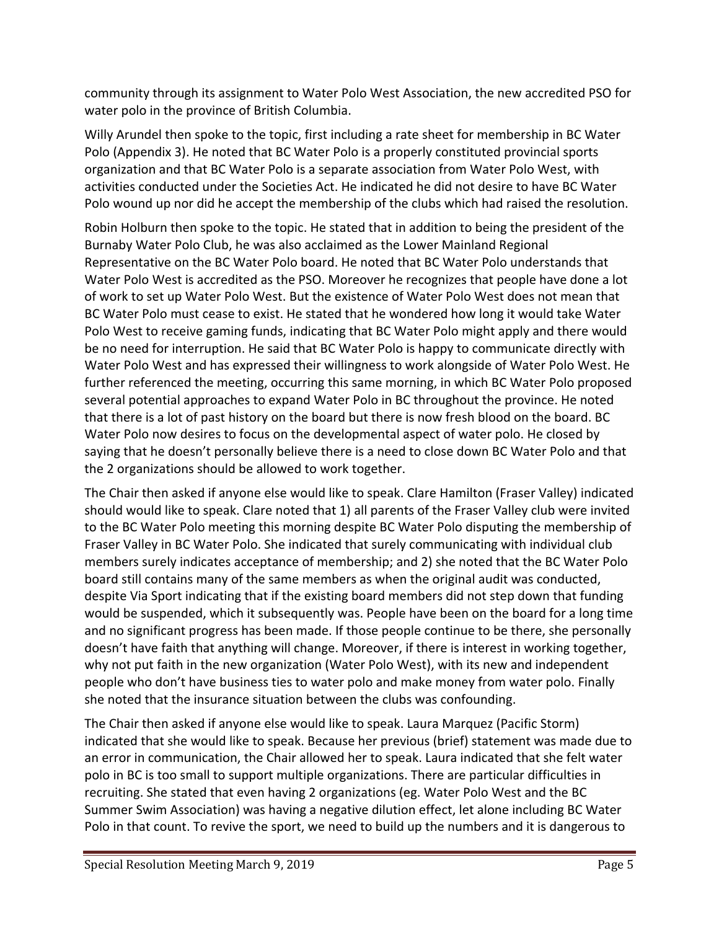community through its assignment to Water Polo West Association, the new accredited PSO for water polo in the province of British Columbia.

Willy Arundel then spoke to the topic, first including a rate sheet for membership in BC Water Polo (Appendix 3). He noted that BC Water Polo is a properly constituted provincial sports organization and that BC Water Polo is a separate association from Water Polo West, with activities conducted under the Societies Act. He indicated he did not desire to have BC Water Polo wound up nor did he accept the membership of the clubs which had raised the resolution.

Robin Holburn then spoke to the topic. He stated that in addition to being the president of the Burnaby Water Polo Club, he was also acclaimed as the Lower Mainland Regional Representative on the BC Water Polo board. He noted that BC Water Polo understands that Water Polo West is accredited as the PSO. Moreover he recognizes that people have done a lot of work to set up Water Polo West. But the existence of Water Polo West does not mean that BC Water Polo must cease to exist. He stated that he wondered how long it would take Water Polo West to receive gaming funds, indicating that BC Water Polo might apply and there would be no need for interruption. He said that BC Water Polo is happy to communicate directly with Water Polo West and has expressed their willingness to work alongside of Water Polo West. He further referenced the meeting, occurring this same morning, in which BC Water Polo proposed several potential approaches to expand Water Polo in BC throughout the province. He noted that there is a lot of past history on the board but there is now fresh blood on the board. BC Water Polo now desires to focus on the developmental aspect of water polo. He closed by saying that he doesn't personally believe there is a need to close down BC Water Polo and that the 2 organizations should be allowed to work together.

The Chair then asked if anyone else would like to speak. Clare Hamilton (Fraser Valley) indicated should would like to speak. Clare noted that 1) all parents of the Fraser Valley club were invited to the BC Water Polo meeting this morning despite BC Water Polo disputing the membership of Fraser Valley in BC Water Polo. She indicated that surely communicating with individual club members surely indicates acceptance of membership; and 2) she noted that the BC Water Polo board still contains many of the same members as when the original audit was conducted, despite Via Sport indicating that if the existing board members did not step down that funding would be suspended, which it subsequently was. People have been on the board for a long time and no significant progress has been made. If those people continue to be there, she personally doesn't have faith that anything will change. Moreover, if there is interest in working together, why not put faith in the new organization (Water Polo West), with its new and independent people who don't have business ties to water polo and make money from water polo. Finally she noted that the insurance situation between the clubs was confounding.

The Chair then asked if anyone else would like to speak. Laura Marquez (Pacific Storm) indicated that she would like to speak. Because her previous (brief) statement was made due to an error in communication, the Chair allowed her to speak. Laura indicated that she felt water polo in BC is too small to support multiple organizations. There are particular difficulties in recruiting. She stated that even having 2 organizations (eg. Water Polo West and the BC Summer Swim Association) was having a negative dilution effect, let alone including BC Water Polo in that count. To revive the sport, we need to build up the numbers and it is dangerous to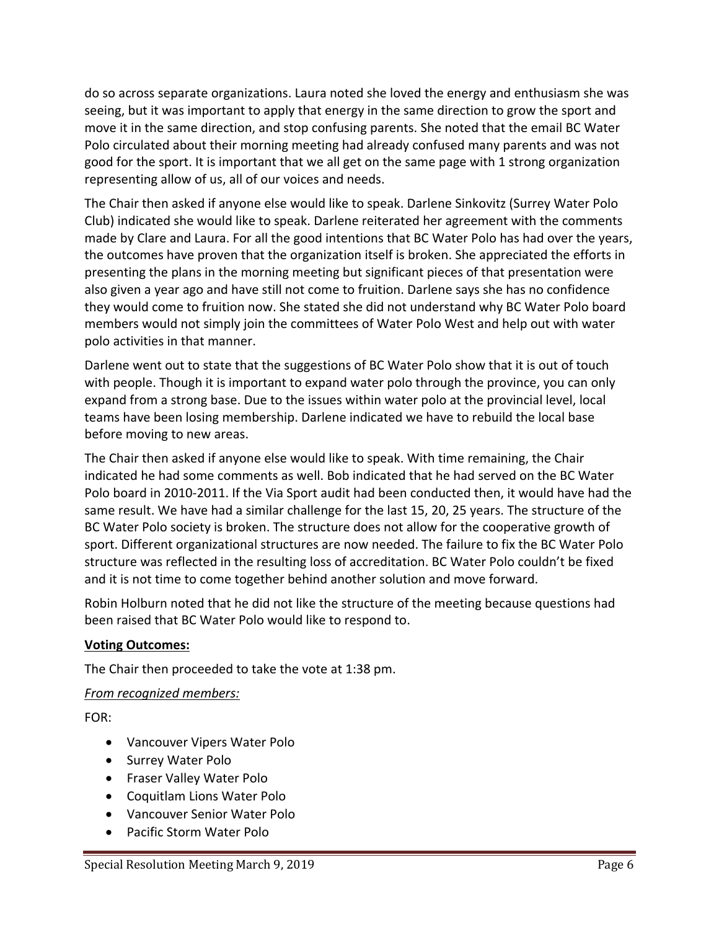do so across separate organizations. Laura noted she loved the energy and enthusiasm she was seeing, but it was important to apply that energy in the same direction to grow the sport and move it in the same direction, and stop confusing parents. She noted that the email BC Water Polo circulated about their morning meeting had already confused many parents and was not good for the sport. It is important that we all get on the same page with 1 strong organization representing allow of us, all of our voices and needs.

The Chair then asked if anyone else would like to speak. Darlene Sinkovitz (Surrey Water Polo Club) indicated she would like to speak. Darlene reiterated her agreement with the comments made by Clare and Laura. For all the good intentions that BC Water Polo has had over the years, the outcomes have proven that the organization itself is broken. She appreciated the efforts in presenting the plans in the morning meeting but significant pieces of that presentation were also given a year ago and have still not come to fruition. Darlene says she has no confidence they would come to fruition now. She stated she did not understand why BC Water Polo board members would not simply join the committees of Water Polo West and help out with water polo activities in that manner.

Darlene went out to state that the suggestions of BC Water Polo show that it is out of touch with people. Though it is important to expand water polo through the province, you can only expand from a strong base. Due to the issues within water polo at the provincial level, local teams have been losing membership. Darlene indicated we have to rebuild the local base before moving to new areas.

The Chair then asked if anyone else would like to speak. With time remaining, the Chair indicated he had some comments as well. Bob indicated that he had served on the BC Water Polo board in 2010-2011. If the Via Sport audit had been conducted then, it would have had the same result. We have had a similar challenge for the last 15, 20, 25 years. The structure of the BC Water Polo society is broken. The structure does not allow for the cooperative growth of sport. Different organizational structures are now needed. The failure to fix the BC Water Polo structure was reflected in the resulting loss of accreditation. BC Water Polo couldn't be fixed and it is not time to come together behind another solution and move forward.

Robin Holburn noted that he did not like the structure of the meeting because questions had been raised that BC Water Polo would like to respond to.

### **Voting Outcomes:**

The Chair then proceeded to take the vote at 1:38 pm.

### *From recognized members:*

FOR:

- Vancouver Vipers Water Polo
- Surrey Water Polo
- Fraser Valley Water Polo
- Coquitlam Lions Water Polo
- Vancouver Senior Water Polo
- Pacific Storm Water Polo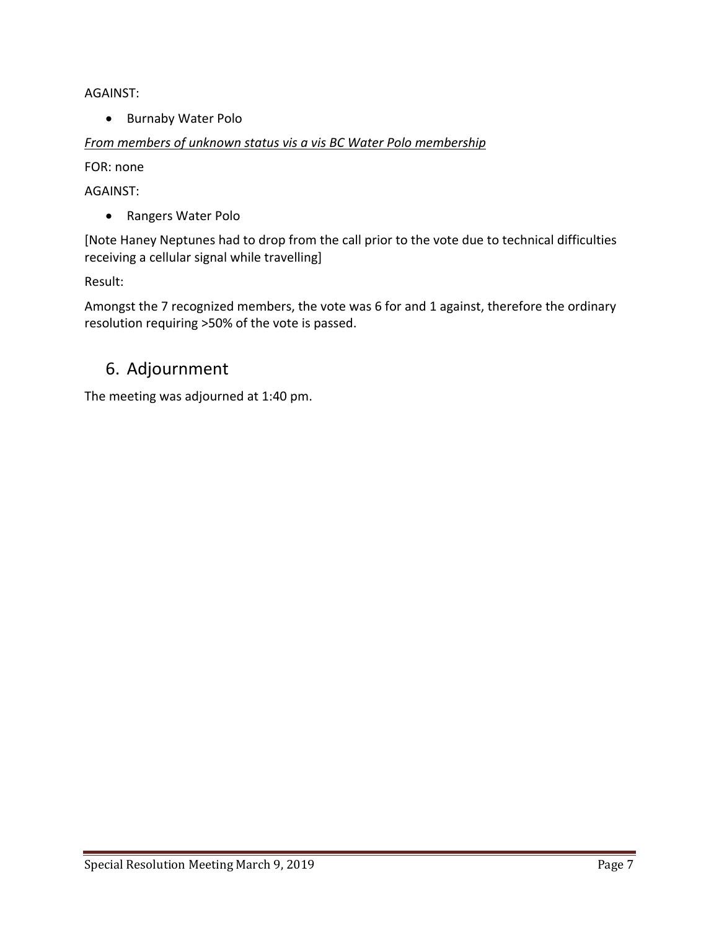AGAINST:

• Burnaby Water Polo

### *From members of unknown status vis a vis BC Water Polo membership*

FOR: none

AGAINST:

• Rangers Water Polo

[Note Haney Neptunes had to drop from the call prior to the vote due to technical difficulties receiving a cellular signal while travelling]

Result:

Amongst the 7 recognized members, the vote was 6 for and 1 against, therefore the ordinary resolution requiring >50% of the vote is passed.

## 6. Adjournment

The meeting was adjourned at 1:40 pm.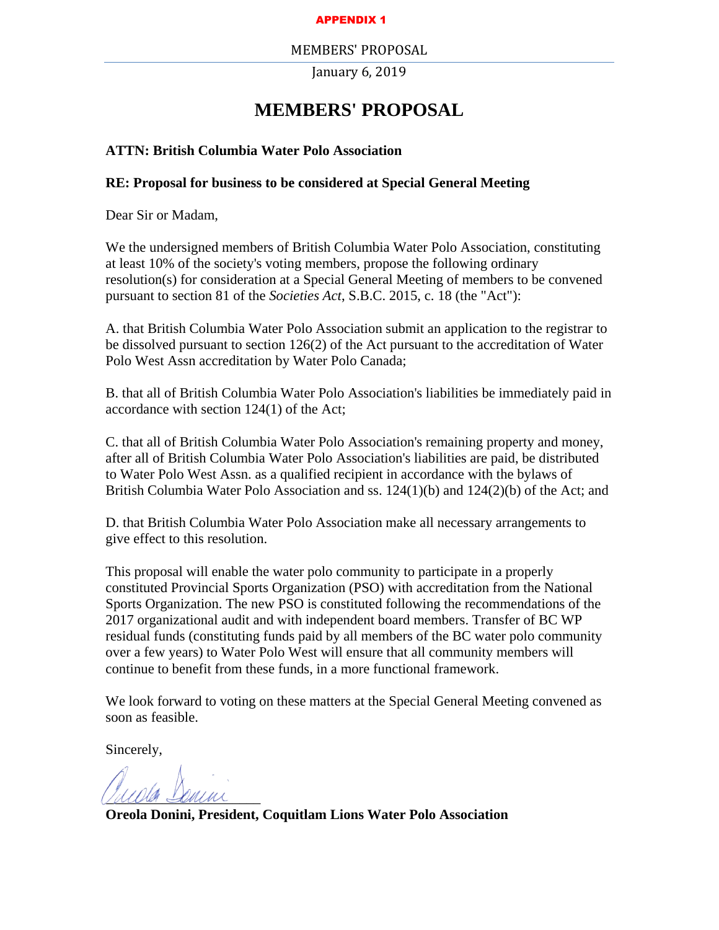#### APPENDIX 1

#### MEMBERS' PROPOSAL

January 6, 2019

### **MEMBERS' PROPOSAL**

#### <span id="page-12-0"></span>**ATTN: British Columbia Water Polo Association**

#### **RE: Proposal for business to be considered at Special General Meeting**

Dear Sir or Madam,

We the undersigned members of British Columbia Water Polo Association, constituting at least 10% of the society's voting members, propose the following ordinary resolution(s) for consideration at a Special General Meeting of members to be convened pursuant to section 81 of the *Societies Act*, S.B.C. 2015, c. 18 (the "Act"):

A. that British Columbia Water Polo Association submit an application to the registrar to be dissolved pursuant to section 126(2) of the Act pursuant to the accreditation of Water Polo West Assn accreditation by Water Polo Canada;

B. that all of British Columbia Water Polo Association's liabilities be immediately paid in accordance with section 124(1) of the Act;

C. that all of British Columbia Water Polo Association's remaining property and money, after all of British Columbia Water Polo Association's liabilities are paid, be distributed to Water Polo West Assn. as a qualified recipient in accordance with the bylaws of British Columbia Water Polo Association and ss. 124(1)(b) and 124(2)(b) of the Act; and

D. that British Columbia Water Polo Association make all necessary arrangements to give effect to this resolution.

This proposal will enable the water polo community to participate in a properly constituted Provincial Sports Organization (PSO) with accreditation from the National Sports Organization. The new PSO is constituted following the recommendations of the 2017 organizational audit and with independent board members. Transfer of BC WP residual funds (constituting funds paid by all members of the BC water polo community over a few years) to Water Polo West will ensure that all community members will continue to benefit from these funds, in a more functional framework.

We look forward to voting on these matters at the Special General Meeting convened as soon as feasible.

Sincerely,

musica commi

**Oreola Donini, President, Coquitlam Lions Water Polo Association**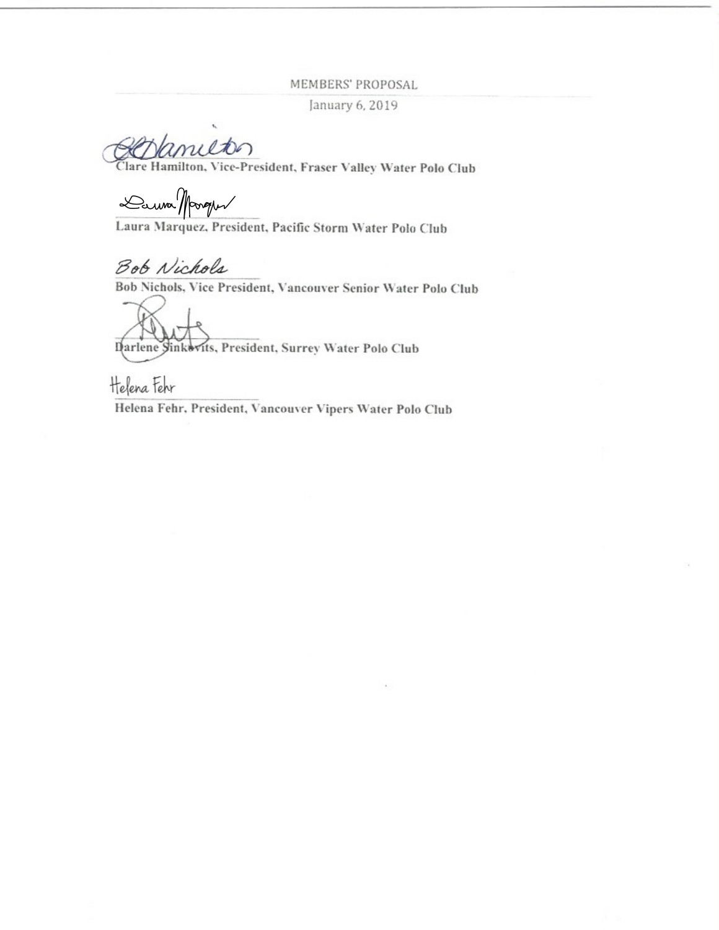MEMBERS' PROPOSAL

January 6, 2019

milton

Clare Hamilton, Vice-President, Fraser Valley Water Polo Club

Danna Margus

Laura Marquez, President, Pacific Storm Water Polo Club

Bob Nichols

Bob Nichols, Vice President, Vancouver Senior Water Polo Club

Darlene Sinkevits, President, Surrey Water Polo Club

Helena Fehr

Helena Fehr, President, Vancouver Vipers Water Polo Club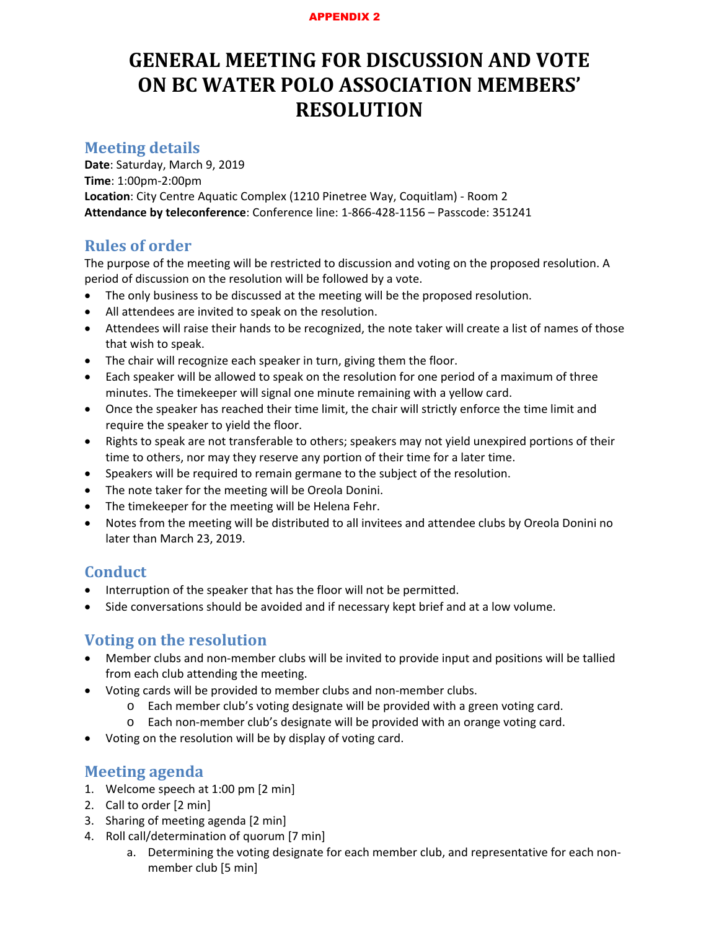#### APPENDIX 2

# <span id="page-14-0"></span>**GENERAL MEETING FOR DISCUSSION AND VOTE ON BC WATER POLO ASSOCIATION MEMBERS' RESOLUTION**

### **Meeting details**

**Date**: Saturday, March 9, 2019 **Time**: 1:00pm-2:00pm **Location**: City Centre Aquatic Complex (1210 Pinetree Way, Coquitlam) - Room 2 **Attendance by teleconference**: Conference line: 1-866-428-1156 – Passcode: 351241

### **Rules of order**

The purpose of the meeting will be restricted to discussion and voting on the proposed resolution. A period of discussion on the resolution will be followed by a vote.

- The only business to be discussed at the meeting will be the proposed resolution.
- All attendees are invited to speak on the resolution.
- Attendees will raise their hands to be recognized, the note taker will create a list of names of those that wish to speak.
- The chair will recognize each speaker in turn, giving them the floor.
- Each speaker will be allowed to speak on the resolution for one period of a maximum of three minutes. The timekeeper will signal one minute remaining with a yellow card.
- Once the speaker has reached their time limit, the chair will strictly enforce the time limit and require the speaker to yield the floor.
- Rights to speak are not transferable to others; speakers may not yield unexpired portions of their time to others, nor may they reserve any portion of their time for a later time.
- Speakers will be required to remain germane to the subject of the resolution.
- The note taker for the meeting will be Oreola Donini.
- The timekeeper for the meeting will be Helena Fehr.
- Notes from the meeting will be distributed to all invitees and attendee clubs by Oreola Donini no later than March 23, 2019.

### **Conduct**

- Interruption of the speaker that has the floor will not be permitted.
- Side conversations should be avoided and if necessary kept brief and at a low volume.

### **Voting on the resolution**

- Member clubs and non-member clubs will be invited to provide input and positions will be tallied from each club attending the meeting.
- Voting cards will be provided to member clubs and non-member clubs.
	- o Each member club's voting designate will be provided with a green voting card.
	- o Each non-member club's designate will be provided with an orange voting card.
- Voting on the resolution will be by display of voting card.

### **Meeting agenda**

- 1. Welcome speech at 1:00 pm [2 min]
- 2. Call to order [2 min]
- 3. Sharing of meeting agenda [2 min]
- 4. Roll call/determination of quorum [7 min]
	- a. Determining the voting designate for each member club, and representative for each nonmember club [5 min]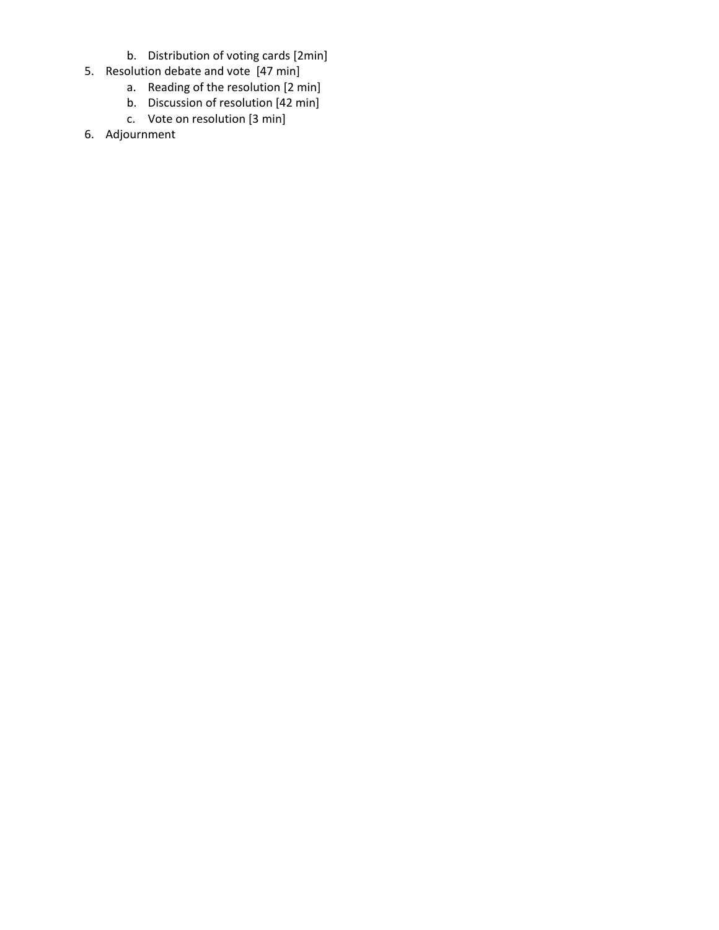- b. Distribution of voting cards [2min]
- 5. Resolution debate and vote [47 min]
	- a. Reading of the resolution [2 min]
	- b. Discussion of resolution [42 min]
	- c. Vote on resolution [3 min]
- 6. Adjournment